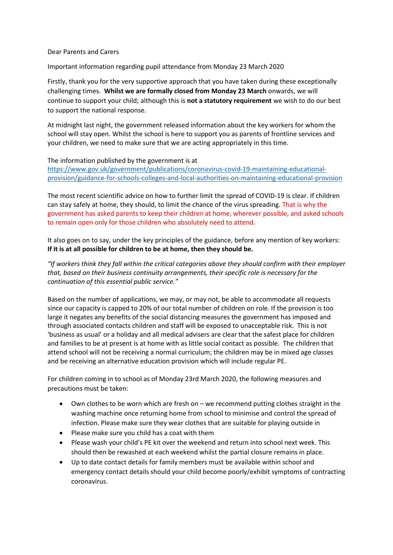## Dear Parents and Carers

Important information regarding pupil attendance from Monday 23 March 2020

Firstly, thank you for the very supportive approach that you have taken during these exceptionally challenging times. **Whilst we are formally closed from Monday 23 March** onwards, we will continue to support your child; although this is **not a statutory requirement** we wish to do our best to support the national response.

At midnight last night, the government released information about the key workers for whom the school will stay open. Whilst the school is here to support you as parents of frontline services and your children, we need to make sure that we are acting appropriately in this time.

## The information published by the government is at

[https://www.gov.uk/government/publications/coronavirus-covid-19-maintaining-educational](https://www.gov.uk/government/publications/coronavirus-covid-19-maintaining-educational-provision/guidance-for-schools-colleges-and-local-authorities-on-maintaining-educational-provision)[provision/guidance-for-schools-colleges-and-local-authorities-on-maintaining-educational-provision](https://www.gov.uk/government/publications/coronavirus-covid-19-maintaining-educational-provision/guidance-for-schools-colleges-and-local-authorities-on-maintaining-educational-provision)

The most recent scientific advice on how to further limit the spread of COVID-19 is clear. If children can stay safely at home, they should, to limit the chance of the virus spreading. That is why the government has asked parents to keep their children at home, wherever possible, and asked schools to remain open only for those children who absolutely need to attend.

It also goes on to say, under the key principles of the guidance, before any mention of key workers: **If it is at all possible for children to be at home, then they should be.**

*"If workers think they fall within the critical categories above they should confirm with their employer that, based on their business continuity arrangements, their specific role is necessary for the continuation of this essential public service."*

Based on the number of applications, we may, or may not, be able to accommodate all requests since our capacity is capped to 20% of our total number of children on role. If the provision is too large it negates any benefits of the social distancing measures the government has imposed and through associated contacts children and staff will be exposed to unacceptable risk. This is not 'business as usual' or a holiday and all medical advisers are clear that the safest place for children and families to be at present is at home with as little social contact as possible. The children that attend school will not be receiving a normal curriculum; the children may be in mixed age classes and be receiving an alternative education provision which will include regular PE.

For children coming in to school as of Monday 23rd March 2020, the following measures and precautions must be taken:

- Own clothes to be worn which are fresh on we recommend putting clothes straight in the washing machine once returning home from school to minimise and control the spread of infection. Please make sure they wear clothes that are suitable for playing outside in
- Please make sure you child has a coat with them
- Please wash your child's PE kit over the weekend and return into school next week. This should then be rewashed at each weekend whilst the partial closure remains in place.
- Up to date contact details for family members must be available within school and emergency contact details should your child become poorly/exhibit symptoms of contracting coronavirus.